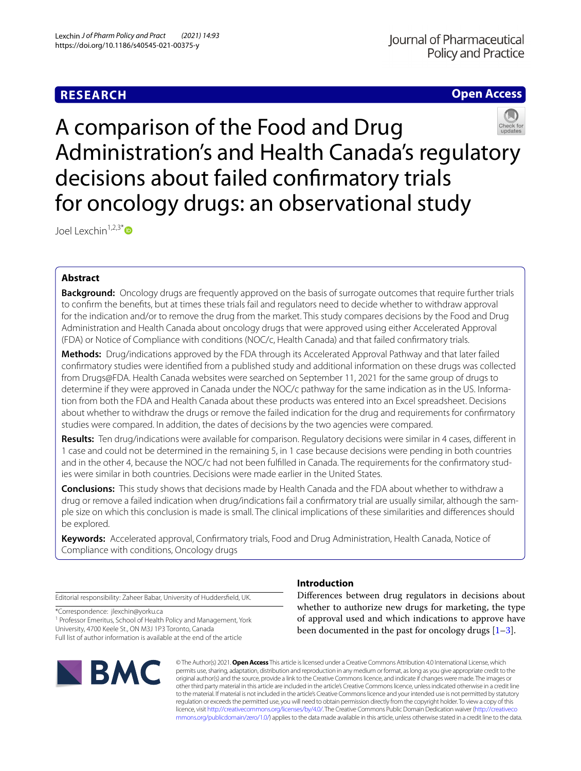# **RESEARCH**

# **Open Access**



A comparison of the Food and Drug Administration's and Health Canada's regulatory decisions about failed confrmatory trials for oncology drugs: an observational study

Joel Lexchin<sup>1,2,3[\\*](http://orcid.org/0000-0001-5120-8029)</sup>

# **Abstract**

**Background:** Oncology drugs are frequently approved on the basis of surrogate outcomes that require further trials to confrm the benefts, but at times these trials fail and regulators need to decide whether to withdraw approval for the indication and/or to remove the drug from the market. This study compares decisions by the Food and Drug Administration and Health Canada about oncology drugs that were approved using either Accelerated Approval (FDA) or Notice of Compliance with conditions (NOC/c, Health Canada) and that failed confrmatory trials.

**Methods:** Drug/indications approved by the FDA through its Accelerated Approval Pathway and that later failed confrmatory studies were identifed from a published study and additional information on these drugs was collected from Drugs@FDA. Health Canada websites were searched on September 11, 2021 for the same group of drugs to determine if they were approved in Canada under the NOC/c pathway for the same indication as in the US. Information from both the FDA and Health Canada about these products was entered into an Excel spreadsheet. Decisions about whether to withdraw the drugs or remove the failed indication for the drug and requirements for confrmatory studies were compared. In addition, the dates of decisions by the two agencies were compared.

**Results:** Ten drug/indications were available for comparison. Regulatory decisions were similar in 4 cases, diferent in 1 case and could not be determined in the remaining 5, in 1 case because decisions were pending in both countries and in the other 4, because the NOC/c had not been fulflled in Canada. The requirements for the confrmatory studies were similar in both countries. Decisions were made earlier in the United States.

**Conclusions:** This study shows that decisions made by Health Canada and the FDA about whether to withdraw a drug or remove a failed indication when drug/indications fail a confrmatory trial are usually similar, although the sample size on which this conclusion is made is small. The clinical implications of these similarities and diferences should be explored.

**Keywords:** Accelerated approval, Confrmatory trials, Food and Drug Administration, Health Canada, Notice of Compliance with conditions, Oncology drugs

Editorial responsibility: Zaheer Babar, University of Huddersfeld, UK.

\*Correspondence: jlexchin@yorku.ca

<sup>1</sup> Professor Emeritus, School of Health Policy and Management, York University, 4700 Keele St., ON M3J 1P3 Toronto, Canada Full list of author information is available at the end of the article



# **Introduction**

Diferences between drug regulators in decisions about whether to authorize new drugs for marketing, the type of approval used and which indications to approve have been documented in the past for oncology drugs  $[1-3]$  $[1-3]$ .

© The Author(s) 2021. **Open Access** This article is licensed under a Creative Commons Attribution 4.0 International License, which permits use, sharing, adaptation, distribution and reproduction in any medium or format, as long as you give appropriate credit to the original author(s) and the source, provide a link to the Creative Commons licence, and indicate if changes were made. The images or other third party material in this article are included in the article's Creative Commons licence, unless indicated otherwise in a credit line to the material. If material is not included in the article's Creative Commons licence and your intended use is not permitted by statutory regulation or exceeds the permitted use, you will need to obtain permission directly from the copyright holder. To view a copy of this licence, visit [http://creativecommons.org/licenses/by/4.0/.](http://creativecommons.org/licenses/by/4.0/) The Creative Commons Public Domain Dedication waiver ([http://creativeco](http://creativecommons.org/publicdomain/zero/1.0/) [mmons.org/publicdomain/zero/1.0/](http://creativecommons.org/publicdomain/zero/1.0/)) applies to the data made available in this article, unless otherwise stated in a credit line to the data.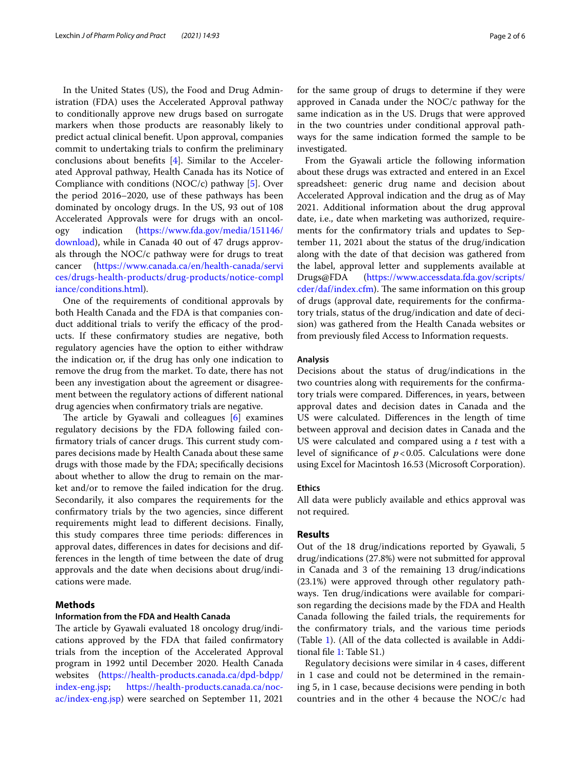In the United States (US), the Food and Drug Administration (FDA) uses the Accelerated Approval pathway to conditionally approve new drugs based on surrogate markers when those products are reasonably likely to predict actual clinical beneft. Upon approval, companies commit to undertaking trials to confrm the preliminary conclusions about benefts [\[4](#page-5-1)]. Similar to the Accelerated Approval pathway, Health Canada has its Notice of Compliance with conditions (NOC/c) pathway [\[5](#page-5-2)]. Over the period 2016–2020, use of these pathways has been dominated by oncology drugs. In the US, 93 out of 108 Accelerated Approvals were for drugs with an oncology indication [\(https://www.fda.gov/media/151146/](https://www.fda.gov/media/151146/download) [download](https://www.fda.gov/media/151146/download)), while in Canada 40 out of 47 drugs approvals through the NOC/c pathway were for drugs to treat cancer ([https://www.canada.ca/en/health-canada/servi](https://www.canada.ca/en/health-canada/services/drugs-health-products/drug-products/notice-compliance/conditions.html) [ces/drugs-health-products/drug-products/notice-compl](https://www.canada.ca/en/health-canada/services/drugs-health-products/drug-products/notice-compliance/conditions.html) [iance/conditions.html\)](https://www.canada.ca/en/health-canada/services/drugs-health-products/drug-products/notice-compliance/conditions.html).

One of the requirements of conditional approvals by both Health Canada and the FDA is that companies conduct additional trials to verify the efficacy of the products. If these confrmatory studies are negative, both regulatory agencies have the option to either withdraw the indication or, if the drug has only one indication to remove the drug from the market. To date, there has not been any investigation about the agreement or disagreement between the regulatory actions of diferent national drug agencies when confrmatory trials are negative.

The article by Gyawali and colleagues  $[6]$  $[6]$  examines regulatory decisions by the FDA following failed confirmatory trials of cancer drugs. This current study compares decisions made by Health Canada about these same drugs with those made by the FDA; specifcally decisions about whether to allow the drug to remain on the market and/or to remove the failed indication for the drug. Secondarily, it also compares the requirements for the confrmatory trials by the two agencies, since diferent requirements might lead to diferent decisions. Finally, this study compares three time periods: diferences in approval dates, diferences in dates for decisions and differences in the length of time between the date of drug approvals and the date when decisions about drug/indications were made.

# **Methods**

## **Information from the FDA and Health Canada**

The article by Gyawali evaluated 18 oncology drug/indications approved by the FDA that failed confrmatory trials from the inception of the Accelerated Approval program in 1992 until December 2020. Health Canada websites ([https://health-products.canada.ca/dpd-bdpp/](https://health-products.canada.ca/dpd-bdpp/index-eng.jsp) [index-eng.jsp](https://health-products.canada.ca/dpd-bdpp/index-eng.jsp); [https://health-products.canada.ca/noc](https://health-products.canada.ca/noc-ac/index-eng.jsp)[ac/index-eng.jsp\)](https://health-products.canada.ca/noc-ac/index-eng.jsp) were searched on September 11, 2021

for the same group of drugs to determine if they were approved in Canada under the NOC/c pathway for the same indication as in the US. Drugs that were approved in the two countries under conditional approval pathways for the same indication formed the sample to be investigated.

From the Gyawali article the following information about these drugs was extracted and entered in an Excel spreadsheet: generic drug name and decision about Accelerated Approval indication and the drug as of May 2021. Additional information about the drug approval date, i.e., date when marketing was authorized, requirements for the confrmatory trials and updates to September 11, 2021 about the status of the drug/indication along with the date of that decision was gathered from the label, approval letter and supplements available at Drugs@FDA ([https://www.accessdata.fda.gov/scripts/](https://www.accessdata.fda.gov/scripts/cder/daf/index.cfm) [cder/daf/index.cfm](https://www.accessdata.fda.gov/scripts/cder/daf/index.cfm)). The same information on this group of drugs (approval date, requirements for the confrmatory trials, status of the drug/indication and date of decision) was gathered from the Health Canada websites or from previously fled Access to Information requests.

## **Analysis**

Decisions about the status of drug/indications in the two countries along with requirements for the confrmatory trials were compared. Diferences, in years, between approval dates and decision dates in Canada and the US were calculated. Diferences in the length of time between approval and decision dates in Canada and the US were calculated and compared using a *t* test with a level of signifcance of *p*<0.05. Calculations were done using Excel for Macintosh 16.53 (Microsoft Corporation).

## **Ethics**

All data were publicly available and ethics approval was not required.

#### **Results**

Out of the 18 drug/indications reported by Gyawali, 5 drug/indications (27.8%) were not submitted for approval in Canada and 3 of the remaining 13 drug/indications (23.1%) were approved through other regulatory pathways. Ten drug/indications were available for comparison regarding the decisions made by the FDA and Health Canada following the failed trials, the requirements for the confrmatory trials, and the various time periods (Table [1\)](#page-2-0). (All of the data collected is available in Additional fle [1](#page-4-1): Table S1.)

Regulatory decisions were similar in 4 cases, diferent in 1 case and could not be determined in the remaining 5, in 1 case, because decisions were pending in both countries and in the other 4 because the NOC/c had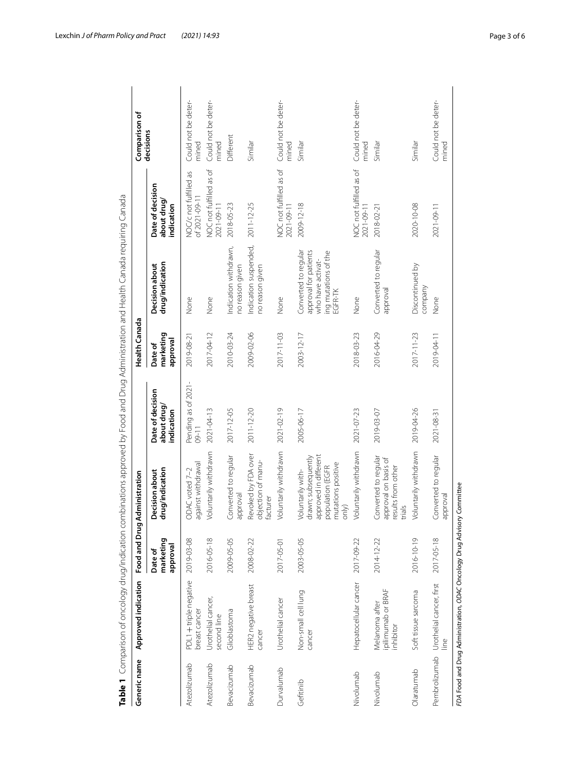| Generic name | Approved indication                               | Food and Drug                    | Administration                                                                                                              |                                               | <b>Health Canada</b>             |                                                                                                       |                                              | Comparison of                |
|--------------|---------------------------------------------------|----------------------------------|-----------------------------------------------------------------------------------------------------------------------------|-----------------------------------------------|----------------------------------|-------------------------------------------------------------------------------------------------------|----------------------------------------------|------------------------------|
|              |                                                   | marketing<br>levoudde<br>Date of | drug/indication<br><b>Decision about</b>                                                                                    | Date of decision<br>about drug/<br>indication | marketing<br>approval<br>Date of | drug/indication<br>Decision about                                                                     | Date of decision<br>about drug<br>indication | decisions                    |
| Atezolizumab | PDL1 + triple negative<br>breast cancer           | 2019-03-08                       | against withdrawal<br>ODAC voted 7-2                                                                                        | Pending as of 2021<br>$09 - 11$               | 2019-08-21                       | None                                                                                                  | NOC/c not fulfilled as<br>of 2021-09-11      | Could not be deter-<br>mined |
| Atezolizumab | Urothelial cancer,<br>second line                 | 2016-05-18                       | Voluntarily withdrawn                                                                                                       | 2021-04-13                                    | 2017-04-12                       | None                                                                                                  | NOC not fulfilled as of<br>2021-09-11        | Could not be deter-<br>mined |
| Bevacizumab  | Glioblastoma                                      | 2009-05-05                       | Converted to regular<br>evoudde                                                                                             | 2017-12-05                                    | 2010-03-24                       | Indication withdrawn,<br>no reason given                                                              | 2018-05-23                                   | Different                    |
| Bevacizumab  | HER2 negative breast<br>cancer                    | 2008-02-22                       | Revoked by FDA over<br>objection of manu-<br>facturer                                                                       | 2011-12-20                                    | 2009-02-06                       | Indication suspended,<br>no reason given                                                              | 2011-12-25                                   | Similar                      |
| Durvalumab   | Urothelial cancer                                 | 2017-05-01                       | Voluntarily withdrawn                                                                                                       | 2021-02-19                                    | 2017-11-03                       | None                                                                                                  | NOC not fulfilled as of<br>2021-09-11        | Could not be deter-<br>mined |
| Gefitinib    | Non-small cell lung<br>cancer                     | 2003-05-05                       | approved in different<br>drawn; subsequently<br>mutations positive<br>population (EGFR<br>Voluntarily with-<br>$\circ$ nlv) | 2005-06-17                                    | 2003-12-17                       | Converted to regular<br>approval for patients<br>ing mutations of the<br>who have activat-<br>EGFR-TK | 2009-12-18                                   | Similar                      |
| Nivolumab    | Hepatocellular cancer                             | 2017-09-22                       | Voluntarily withdrawn                                                                                                       | 2021-07-23                                    | 2018-03-23                       | None                                                                                                  | NOC not fulfilled as of<br>2021-09-11        | Could not be deter-<br>mined |
| Nivolumab    | ipilimumab or BRAF<br>Melanoma after<br>inhibitor | 2014-12-22                       | Converted to regular<br>approval on basis of<br>results from other<br>trials                                                | 2019-03-07                                    | 2016-04-29                       | Converted to regular<br>approval                                                                      | 2018-02-21                                   | Similar                      |
| Olaratumab   | Soft tissue sarcoma                               | 2016-10-19                       | Voluntarily withdrawn                                                                                                       | 2019-04-26                                    | 2017-11-23                       | Discontinued by<br>company                                                                            | 2020-10-08                                   | Similar                      |
|              | Pembrolizumab Urothelial cancer, first<br>line    | 2017-05-18                       | Converted to regular<br>levoudde                                                                                            | 2021-08-3                                     | 2019-04-11                       | None                                                                                                  | 2021-09-11                                   | Could not be deter-<br>mined |

<span id="page-2-0"></span>

Lexchin *J of Pharm Policy and Pract (2021) 14:93* Page 3 of 6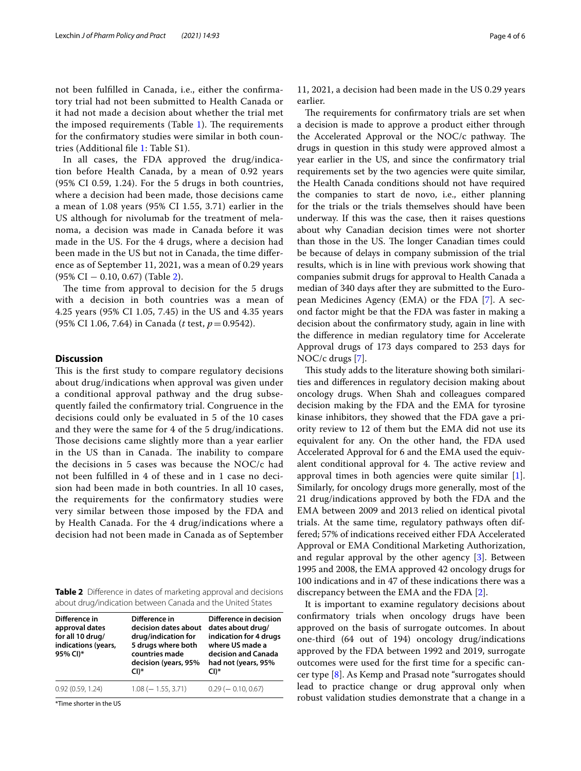not been fulflled in Canada, i.e., either the confrmatory trial had not been submitted to Health Canada or it had not made a decision about whether the trial met the imposed requirements (Table  $1$ ). The requirements for the confrmatory studies were similar in both countries (Additional fle [1:](#page-4-1) Table S1).

In all cases, the FDA approved the drug/indication before Health Canada, by a mean of 0.92 years (95% CI 0.59, 1.24). For the 5 drugs in both countries, where a decision had been made, those decisions came a mean of 1.08 years (95% CI 1.55, 3.71) earlier in the US although for nivolumab for the treatment of melanoma, a decision was made in Canada before it was made in the US. For the 4 drugs, where a decision had been made in the US but not in Canada, the time diference as of September 11, 2021, was a mean of 0.29 years (95% CI − 0.10, 0.67) (Table [2](#page-3-0)).

The time from approval to decision for the 5 drugs with a decision in both countries was a mean of 4.25 years (95% CI 1.05, 7.45) in the US and 4.35 years (95% CI 1.06, 7.64) in Canada (*t* test, *p*=0.9542).

#### **Discussion**

This is the first study to compare regulatory decisions about drug/indications when approval was given under a conditional approval pathway and the drug subsequently failed the confrmatory trial. Congruence in the decisions could only be evaluated in 5 of the 10 cases and they were the same for 4 of the 5 drug/indications. Those decisions came slightly more than a year earlier in the US than in Canada. The inability to compare the decisions in 5 cases was because the NOC/c had not been fulflled in 4 of these and in 1 case no decision had been made in both countries. In all 10 cases, the requirements for the confrmatory studies were very similar between those imposed by the FDA and by Health Canada. For the 4 drug/indications where a decision had not been made in Canada as of September

<span id="page-3-0"></span>**Table 2** Diference in dates of marketing approval and decisions about drug/indication between Canada and the United States

| Difference in<br>approval dates<br>for all 10 drug/<br>indications (years,<br>95% CI)* | Difference in<br>decision dates about<br>drug/indication for<br>5 drugs where both<br>countries made<br>decision (years, 95%<br>$CI)*$ | Difference in decision<br>dates about drug/<br>indication for 4 drugs<br>where US made a<br>decision and Canada<br>had not (years, 95%<br>$CI)*$ |
|----------------------------------------------------------------------------------------|----------------------------------------------------------------------------------------------------------------------------------------|--------------------------------------------------------------------------------------------------------------------------------------------------|
| 0.92(0.59, 1.24)                                                                       | $1.08 (-1.55, 3.71)$                                                                                                                   | $0.29$ ( $-0.10, 0.67$ )                                                                                                                         |

\*Time shorter in the US

11, 2021, a decision had been made in the US 0.29 years earlier.

The requirements for confirmatory trials are set when a decision is made to approve a product either through the Accelerated Approval or the NOC/c pathway. The drugs in question in this study were approved almost a year earlier in the US, and since the confrmatory trial requirements set by the two agencies were quite similar, the Health Canada conditions should not have required the companies to start de novo, i.e., either planning for the trials or the trials themselves should have been underway. If this was the case, then it raises questions about why Canadian decision times were not shorter than those in the US. The longer Canadian times could be because of delays in company submission of the trial results, which is in line with previous work showing that companies submit drugs for approval to Health Canada a median of 340 days after they are submitted to the European Medicines Agency (EMA) or the FDA [\[7](#page-5-4)]. A second factor might be that the FDA was faster in making a decision about the confrmatory study, again in line with the diference in median regulatory time for Accelerate Approval drugs of 173 days compared to 253 days for NOC/c drugs [[7\]](#page-5-4).

This study adds to the literature showing both similarities and diferences in regulatory decision making about oncology drugs. When Shah and colleagues compared decision making by the FDA and the EMA for tyrosine kinase inhibitors, they showed that the FDA gave a priority review to 12 of them but the EMA did not use its equivalent for any. On the other hand, the FDA used Accelerated Approval for 6 and the EMA used the equivalent conditional approval for 4. The active review and approval times in both agencies were quite similar [\[1](#page-4-0)]. Similarly, for oncology drugs more generally, most of the 21 drug/indications approved by both the FDA and the EMA between 2009 and 2013 relied on identical pivotal trials. At the same time, regulatory pathways often differed; 57% of indications received either FDA Accelerated Approval or EMA Conditional Marketing Authorization, and regular approval by the other agency [[3\]](#page-5-0). Between 1995 and 2008, the EMA approved 42 oncology drugs for 100 indications and in 47 of these indications there was a discrepancy between the EMA and the FDA [\[2](#page-4-2)].

It is important to examine regulatory decisions about confrmatory trials when oncology drugs have been approved on the basis of surrogate outcomes. In about one-third (64 out of 194) oncology drug/indications approved by the FDA between 1992 and 2019, surrogate outcomes were used for the frst time for a specifc cancer type [[8\]](#page-5-5). As Kemp and Prasad note "surrogates should lead to practice change or drug approval only when robust validation studies demonstrate that a change in a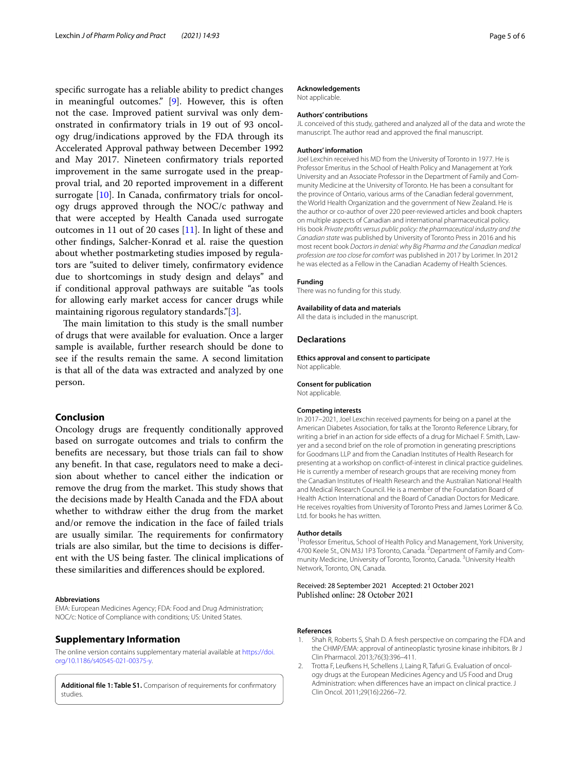specifc surrogate has a reliable ability to predict changes in meaningful outcomes." [\[9\]](#page-5-6). However, this is often not the case. Improved patient survival was only demonstrated in confrmatory trials in 19 out of 93 oncology drug/indications approved by the FDA through its Accelerated Approval pathway between December 1992 and May 2017. Nineteen confrmatory trials reported improvement in the same surrogate used in the preapproval trial, and 20 reported improvement in a diferent surrogate [[10\]](#page-5-7). In Canada, confirmatory trials for oncology drugs approved through the NOC/c pathway and that were accepted by Health Canada used surrogate outcomes in 11 out of 20 cases [[11](#page-5-8)]. In light of these and other fndings, Salcher-Konrad et al. raise the question about whether postmarketing studies imposed by regulators are "suited to deliver timely, confrmatory evidence due to shortcomings in study design and delays" and if conditional approval pathways are suitable "as tools for allowing early market access for cancer drugs while maintaining rigorous regulatory standards."[[3\]](#page-5-0).

The main limitation to this study is the small number of drugs that were available for evaluation. Once a larger sample is available, further research should be done to see if the results remain the same. A second limitation is that all of the data was extracted and analyzed by one person.

## **Conclusion**

Oncology drugs are frequently conditionally approved based on surrogate outcomes and trials to confrm the benefts are necessary, but those trials can fail to show any beneft. In that case, regulators need to make a decision about whether to cancel either the indication or remove the drug from the market. This study shows that the decisions made by Health Canada and the FDA about whether to withdraw either the drug from the market and/or remove the indication in the face of failed trials are usually similar. The requirements for confirmatory trials are also similar, but the time to decisions is diferent with the US being faster. The clinical implications of these similarities and diferences should be explored.

#### **Abbreviations**

EMA: European Medicines Agency; FDA: Food and Drug Administration; NOC/c: Notice of Compliance with conditions; US: United States.

#### **Supplementary Information**

The online version contains supplementary material available at [https://doi.](https://doi.org/10.1186/s40545-021-00375-y) [org/10.1186/s40545-021-00375-y.](https://doi.org/10.1186/s40545-021-00375-y)

<span id="page-4-1"></span>**Additional fle 1: Table S1.** Comparison of requirements for confrmatory studies.

#### **Acknowledgements**

Not applicable.

## **Authors' contributions**

JL conceived of this study, gathered and analyzed all of the data and wrote the manuscript. The author read and approved the fnal manuscript.

#### **Authors' information**

Joel Lexchin received his MD from the University of Toronto in 1977. He is Professor Emeritus in the School of Health Policy and Management at York University and an Associate Professor in the Department of Family and Community Medicine at the University of Toronto. He has been a consultant for the province of Ontario, various arms of the Canadian federal government, the World Health Organization and the government of New Zealand. He is the author or co-author of over 220 peer-reviewed articles and book chapters on multiple aspects of Canadian and international pharmaceutical policy. His book *Private profts versus public policy: the pharmaceutical industry and the Canadian state* was published by University of Toronto Press in 2016 and his most recent book *Doctors in denial: why Big Pharma and the Canadian medical profession are too close for comfort* was published in 2017 by Lorimer. In 2012 he was elected as a Fellow in the Canadian Academy of Health Sciences.

#### **Funding**

There was no funding for this study.

#### **Availability of data and materials**

All the data is included in the manuscript.

## **Declarations**

**Ethics approval and consent to participate** Not applicable.

#### **Consent for publication**

Not applicable.

#### **Competing interests**

In 2017–2021, Joel Lexchin received payments for being on a panel at the American Diabetes Association, for talks at the Toronto Reference Library, for writing a brief in an action for side effects of a drug for Michael F. Smith, Lawyer and a second brief on the role of promotion in generating prescriptions for Goodmans LLP and from the Canadian Institutes of Health Research for presenting at a workshop on confict-of-interest in clinical practice guidelines. He is currently a member of research groups that are receiving money from the Canadian Institutes of Health Research and the Australian National Health and Medical Research Council. He is a member of the Foundation Board of Health Action International and the Board of Canadian Doctors for Medicare. He receives royalties from University of Toronto Press and James Lorimer & Co. Ltd. for books he has written.

#### **Author details**

<sup>1</sup> Professor Emeritus, School of Health Policy and Management, York University, 4700 Keele St., ON M3J 1P3 Toronto, Canada. <sup>2</sup> Department of Family and Community Medicine, University of Toronto, Toronto, Canada. <sup>3</sup>University Health Network, Toronto, ON, Canada.

# Received: 28 September 2021 Accepted: 21 October 2021

#### **References**

- <span id="page-4-0"></span>1. Shah R, Roberts S, Shah D. A fresh perspective on comparing the FDA and the CHMP/EMA: approval of antineoplastic tyrosine kinase inhibitors. Br J Clin Pharmacol. 2013;76(3):396–411.
- <span id="page-4-2"></span>2. Trotta F, Leufkens H, Schellens J, Laing R, Tafuri G. Evaluation of oncology drugs at the European Medicines Agency and US Food and Drug Administration: when diferences have an impact on clinical practice. J Clin Oncol. 2011;29(16):2266–72.